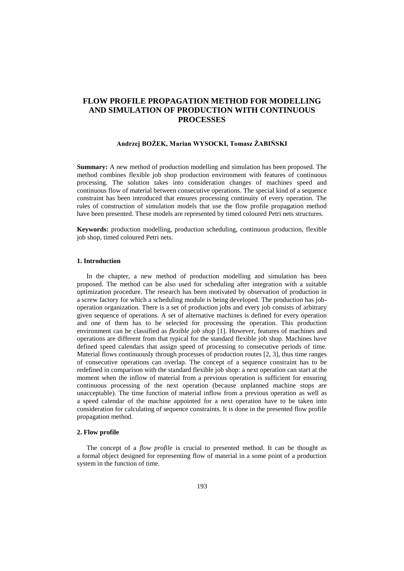# **FLOW PROFILE PROPAGATION METHOD FOR MODELLING AND SIMULATION OF PRODUCTION WITH CONTINUOUS PROCESSES**

### **Andrzej BOŻEK, Marian WYSOCKI, Tomasz ŻABIŃSKI**

**Summary:** A new method of production modelling and simulation has been proposed. The method combines flexible job shop production environment with features of continuous processing. The solution takes into consideration changes of machines speed and continuous flow of material between consecutive operations. The special kind of a sequence constraint has been introduced that ensures processing continuity of every operation. The rules of construction of simulation models that use the flow profile propagation method have been presented. These models are represented by timed coloured Petri nets structures.

**Keywords:** production modelling, production scheduling, continuous production, flexible job shop, timed coloured Petri nets.

### **1. Introduction**

In the chapter, a new method of production modelling and simulation has been proposed. The method can be also used for scheduling after integration with a suitable optimization procedure. The research has been motivated by observation of production in a screw factory for which a scheduling module is being developed. The production has joboperation organization. There is a set of production jobs and every job consists of arbitrary given sequence of operations. A set of alternative machines is defined for every operation and one of them has to be selected for processing the operation. This production environment can be classified as *flexible job shop* [1]. However, features of machines and operations are different from that typical for the standard flexible job shop. Machines have defined speed calendars that assign speed of processing to consecutive periods of time. Material flows continuously through processes of production routes [2, 3], thus time ranges of consecutive operations can overlap. The concept of a sequence constraint has to be redefined in comparison with the standard flexible job shop: a next operation can start at the moment when the inflow of material from a previous operation is sufficient for ensuring continuous processing of the next operation (because unplanned machine stops are unacceptable). The time function of material inflow from a previous operation as well as a speed calendar of the machine appointed for a next operation have to be taken into consideration for calculating of sequence constraints. It is done in the presented flow profile propagation method.

### **2. Flow profile**

The concept of a *flow profile* is crucial to presented method. It can be thought as a formal object designed for representing flow of material in a some point of a production system in the function of time.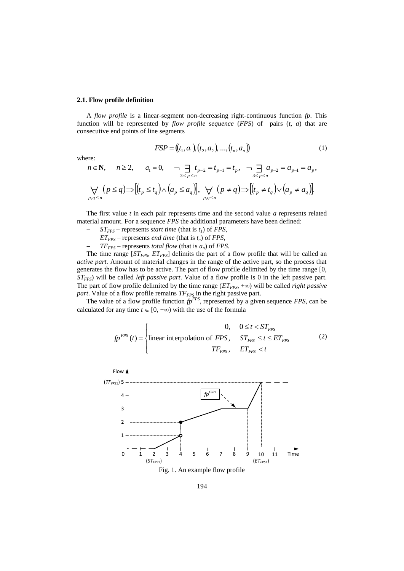# **2.1. Flow profile definition**

A *flow profile* is a linear-segment non-decreasing right-continuous function *fp*. This function will be represented by *flow profile sequence* (*FPS*) of pairs (*t*, *a*) that are consecutive end points of line segments

$$
FSP = ((t_1, a_1), (t_2, a_2), ..., (t_n, a_n))
$$
\n(1)

where:

$$
n \in \mathbb{N}, \quad n \ge 2, \quad a_1 = 0, \quad \neg \underbrace{\exists}_{3 \le p \le n} t_{p-2} = t_{p-1} = t_p, \quad \neg \underbrace{\exists}_{3 \le p \le n} a_{p-2} = a_{p-1} = a_p,
$$
  

$$
\bigvee_{p,q \le n} (p \le q) \Rightarrow [(t_p \le t_q) \land (a_p \le a_q)], \bigvee_{p,q \le n} (p \ne q) \Rightarrow [(t_p \ne t_q) \lor (a_p \ne a_q)]
$$

The first value *t* in each pair represents time and the second value *a* represents related material amount. For a sequence *FPS* the additional parameters have been defined:

- *ST*<sub>*FPS*</sub> represents *start time* (that is  $t<sub>l</sub>$ ) of *FPS*,
- *ETFPS* represents *end time* (that is *tn*) of *FPS*,
- *TFFPS* represents *total flow* (that is *an*) of *FPS*.

The time range [*STFPS*, *ETFPS*] delimits the part of a flow profile that will be called an *active part*. Amount of material changes in the range of the active part, so the process that generates the flow has to be active. The part of flow profile delimited by the time range [0, *STFPS*) will be called *left passive part*. Value of a flow profile is 0 in the left passive part. The part of flow profile delimited by the time range  $(ET_{FFS}, +\infty)$  will be called *right passive part*. Value of a flow profile remains *TFFPS* in the right passive part.

The value of a flow profile function  $fp^{FFS}$ , represented by a given sequence *FPS*, can be calculated for any time  $t \in [0, +\infty)$  with the use of the formula

$$
fp^{FPS}(t) = \begin{cases} 0, & 0 \le t < ST_{FPS} \\ \text{linear interpolation of } FPS, & ST_{FPS} \le t \le ET_{FPS} \\ & TF_{FPS}, & ET_{FPS} & t \end{cases}
$$
 (2)

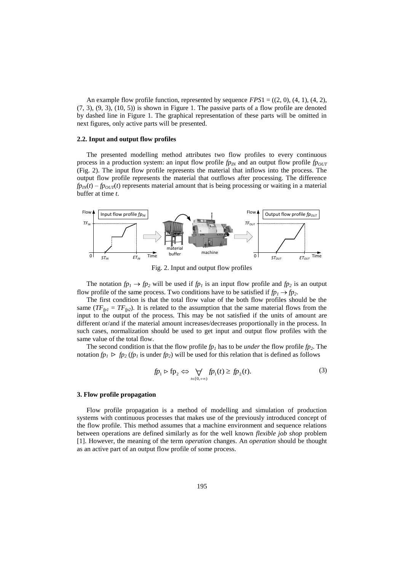An example flow profile function, represented by sequence  $FPS1 = ((2, 0), (4, 1), (4, 2),$  $(7, 3)$ ,  $(9, 3)$ ,  $(10, 5)$ ) is shown in Figure 1. The passive parts of a flow profile are denoted by dashed line in Figure 1. The graphical representation of these parts will be omitted in next figures, only active parts will be presented.

# **2.2. Input and output flow profiles**

The presented modelling method attributes two flow profiles to every continuous process in a production system: an input flow profile  $f_{\mathcal{D}_W}$  and an output flow profile  $f_{\mathcal{D}_W}$ (Fig. 2). The input flow profile represents the material that inflows into the process. The output flow profile represents the material that outflows after processing. The difference  $f_{PIN}(t) - f_{POUT}(t)$  represents material amount that is being processing or waiting in a material buffer at time *t*.



Fig. 2. Input and output flow profiles

The notation  $fp_1 \rightarrow fp_2$  will be used if  $fp_1$  is an input flow profile and  $fp_2$  is an output flow profile of the same process. Two conditions have to be satisfied if  $fp_1 \rightarrow fp_2$ .

The first condition is that the total flow value of the both flow profiles should be the same  $(TF_{fp1} = TF_{fp2})$ . It is related to the assumption that the same material flows from the input to the output of the process. This may be not satisfied if the units of amount are different or/and if the material amount increases/decreases proportionally in the process. In such cases, normalization should be used to get input and output flow profiles with the same value of the total flow.

The second condition is that the flow profile  $fp_1$  has to be *under* the flow profile  $fp_2$ . The notation  $fp_1 \triangleright fp_2$  ( $fp_1$  is under  $fp_2$ ) will be used for this relation that is defined as follows

$$
fp_1 \triangleright fp_2 \Longleftrightarrow \bigvee_{t \in [0, +\infty)} fp_1(t) \ge fp_2(t). \tag{3}
$$

# **3. Flow profile propagation**

Flow profile propagation is a method of modelling and simulation of production systems with continuous processes that makes use of the previously introduced concept of the flow profile. This method assumes that a machine environment and sequence relations between operations are defined similarly as for the well known *flexible job shop* problem [1]. However, the meaning of the term *operation* changes. An *operation* should be thought as an active part of an output flow profile of some process.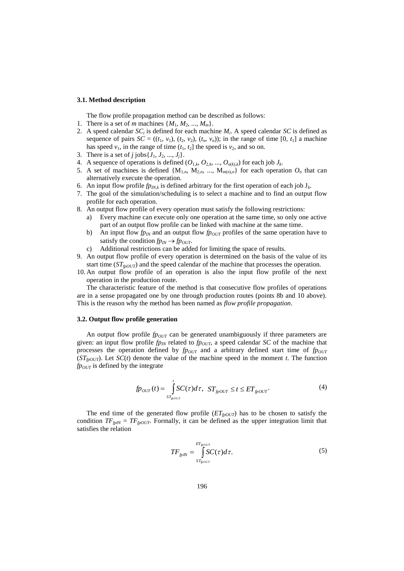# **3.1. Method description**

The flow profile propagation method can be described as follows:

- 1. There is a set of *m* machines  $\{M_1, M_2, ..., M_m\}$ .
- 2. A speed calendar  $SC_i$  is defined for each machine  $M_i$ . A speed calendar  $SC$  is defined as sequence of pairs  $SC = ((t_1, v_1), (t_2, v_2), (t_n, v_n))$ ; in the range of time [0,  $t_1$ ] a machine has speed  $v_1$ , in the range of time  $(t_1, t_2]$  the speed is  $v_2$ , and so on.
- 3. There is a set of *j* jobs  $\{J_1, J_2, ..., J_j\}$ .
- 4. A sequence of operations is defined  $(O_{1,k}, O_{2,k}, ..., O_{o(k),k})$  for each job  $J_k$ .
- 5. A set of machines is defined  $\{M_{1,n}, M_{2,n}, ..., M_{m(n),n}\}$  for each operation  $O_n$  that can alternatively execute the operation.
- 6. An input flow profile  $fp_{N,k}$  is defined arbitrary for the first operation of each job  $J_k$ .
- 7. The goal of the simulation/scheduling is to select a machine and to find an output flow profile for each operation.
- 8. An output flow profile of every operation must satisfy the following restrictions:
	- a) Every machine can execute only one operation at the same time, so only one active part of an output flow profile can be linked with machine at the same time.
	- b) An input flow  $fp<sub>IN</sub>$  and an output flow  $fp<sub>OUT</sub>$  profiles of the same operation have to satisfy the condition  $fp_{IN} \rightarrow fp_{OUT}$ .
	- c) Additional restrictions can be added for limiting the space of results.
- 9. An output flow profile of every operation is determined on the basis of the value of its start time  $(ST_{\text{f}0UT})$  and the speed calendar of the machine that processes the operation.
- 10. An output flow profile of an operation is also the input flow profile of the next operation in the production route.

The characteristic feature of the method is that consecutive flow profiles of operations are in a sense propagated one by one through production routes (points 8b and 10 above). This is the reason why the method has been named as *flow profile propagation*.

#### **3.2. Output flow profile generation**

An output flow profile  $f_{DQUT}$  can be generated unambiguously if three parameters are given: an input flow profile  $fp_{IN}$  related to  $fp_{OUT}$ , a speed calendar *SC* of the machine that processes the operation defined by  $f_{\text{POUT}}$  and a arbitrary defined start time of  $f_{\text{POUT}}$  $(ST_{\text{foot}})$ . Let  $SC(t)$  denote the value of the machine speed in the moment *t*. The function  $f_{\text{P}OUT}$  is defined by the integrate

$$
fp_{OUT}(t) = \int_{ST_{\text{fp}OUT}}^{t} SC(\tau) d\tau, \ ST_{\text{fp}OUT} \le t \le ET_{\text{fp}OUT}.
$$
 (4)

The end time of the generated flow profile  $(ET_{\text{p}OUT})$  has to be chosen to satisfy the condition  $TF_{\hat{p}IN} = TF_{\hat{p}OUT}$ . Formally, it can be defined as the upper integration limit that satisfies the relation

$$
TF_{\text{fpN}} = \int_{ST_{\text{foUT}}}^{ET_{\text{foUT}}} SC(\tau) d\tau.
$$
 (5)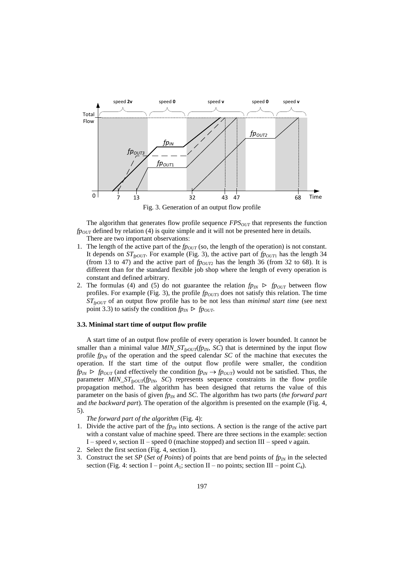

The algorithm that generates flow profile sequence  $\mathit{FPS}_{OUT}$  that represents the function *fp*<sub>OUT</sub> defined by relation (4) is quite simple and it will not be presented here in details.

There are two important observations:

- 1. The length of the active part of the  $f_{\text{POUT}}$  (so, the length of the operation) is not constant. It depends on  $ST_{\text{fpoUT}}$ . For example (Fig. 3), the active part of  $f_{\text{p}OUT1}$  has the length 34 (from 13 to 47) and the active part of  $fp_{OUT2}$  has the length 36 (from 32 to 68). It is different than for the standard flexible job shop where the length of every operation is constant and defined arbitrary.
- 2. The formulas (4) and (5) do not guarantee the relation  $fp_{IN} \triangleright fp_{OUT}$  between flow profiles. For example (Fig. 3), the profile *fp*<sub>*OUT*3</sub> does not satisfy this relation. The time *STfpOUT* of an output flow profile has to be not less than *minimal start time* (see next point 3.3) to satisfy the condition  $fp_{IN} \triangleright fp_{OUT}$ .

# **3.3. Minimal start time of output flow profile**

A start time of an output flow profile of every operation is lower bounded. It cannot be smaller than a minimal value *MIN*  $ST_{f\nu OUT}(f p_{IN}, SC)$  that is determined by the input flow profile  $fp_{IN}$  of the operation and the speed calendar *SC* of the machine that executes the operation. If the start time of the output flow profile were smaller, the condition  $f p_N \triangleright f p_{OUT}$  (and effectively the condition  $f p_N \rightarrow f p_{OUT}$ ) would not be satisfied. Thus, the parameter *MIN\_STfpOUT*(*fpIN*, *SC*) represents sequence constraints in the flow profile propagation method. The algorithm has been designed that returns the value of this parameter on the basis of given *fpIN* and *SC*. The algorithm has two parts (*the forward part* and *the backward part*). The operation of the algorithm is presented on the example (Fig. 4, 5).

*The forward part of the algorithm* (Fig. 4):

- 1. Divide the active part of the  $fp<sub>IN</sub>$  into sections. A section is the range of the active part with a constant value of machine speed. There are three sections in the example: section I – speed *v*, section II – speed 0 (machine stopped) and section III – speed *v* again.
- 2. Select the first section (Fig. 4, section I).
- 3. Construct the set *SP* (*Set of Points*) of points that are bend points of *fpIN* in the selected section (Fig. 4: section I – point  $A_1$ ; section II – no points; section III – point  $C_4$ ).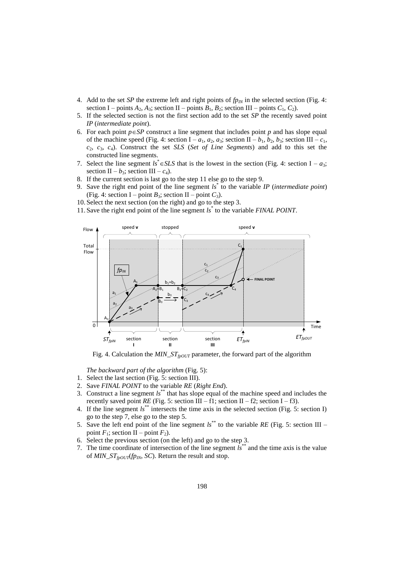- 4. Add to the set *SP* the extreme left and right points of  $fp<sub>IN</sub>$  in the selected section (Fig. 4: section I – points  $A_2$ ,  $A_3$ ; section II – points  $B_1$ ,  $B_2$ ; section III – points  $C_1$ ,  $C_2$ ).
- 5. If the selected section is not the first section add to the set *SP* the recently saved point *IP* (*intermediate point*).
- 6. For each point  $p \in SP$  construct a line segment that includes point  $p$  and has slope equal of the machine speed (Fig. 4: section  $I - a_1, a_2, a_3$ ; section  $II - b_1, b_2, b_3$ ; section  $III - c_1$ , *c*2, *c*3, *c*4). Construct the set *SLS* (*Set of Line Segments*) and add to this set the constructed line segments.
- 7. Select the line segment  $ls^* \in SLS$  that is the lowest in the section (Fig. 4: section I *a*<sub>3</sub>; section II –  $b_3$ ; section III –  $c_4$ ).
- 8. If the current section is last go to the step 11 else go to the step 9.
- 9. Save the right end point of the line segment *ls*\* to the variable *IP* (*intermediate point*) (Fig. 4: section I – point  $B_3$ ; section II – point  $C_3$ ).
- 10. Select the next section (on the right) and go to the step 3.
- 11. Save the right end point of the line segment *ls*\* to the variable *FINAL POINT*.



Fig. 4. Calculation the  $MIN\_ST_{fpOUT}$  parameter, the forward part of the algorithm

*The backward part of the algorithm* (Fig. 5):

- 1. Select the last section (Fig. 5: section III).
- 2. Save *FINAL POINT* to the variable *RE* (*Right End*).
- 3. Construct a line segment *ls*\*\* that has slope equal of the machine speed and includes the recently saved point *RE* (Fig. 5: section III – f1; section II – f2; section I – f3).
- 4. If the line segment *ls*\*\* intersects the time axis in the selected section (Fig. 5: section I) go to the step 7, else go to the step 5.
- 5. Save the left end point of the line segment *ls*\*\* to the variable *RE* (Fig. 5: section III point  $F_1$ ; section II – point  $F_2$ ).
- 6. Select the previous section (on the left) and go to the step 3.
- 7. The time coordinate of intersection of the line segment  $ls^*$  and the time axis is the value of *MIN\_STfpOUT*(*fpIN*, *SC*). Return the result and stop.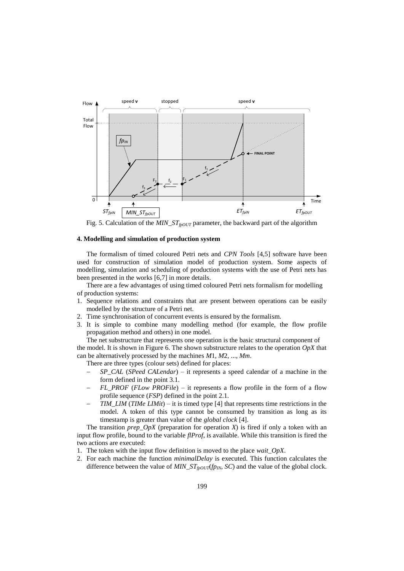

Fig. 5. Calculation of the  $MIN\_ST_{\text{pOUT}}$  parameter, the backward part of the algorithm

#### **4. Modelling and simulation of production system**

The formalism of timed coloured Petri nets and *CPN Tools* [4,5] software have been used for construction of simulation model of production system. Some aspects of modelling, simulation and scheduling of production systems with the use of Petri nets has been presented in the works [6,7] in more details.

There are a few advantages of using timed coloured Petri nets formalism for modelling of production systems:

- 1. Sequence relations and constraints that are present between operations can be easily modelled by the structure of a Petri net.
- 2. Time synchronisation of concurrent events is ensured by the formalism.
- 3. It is simple to combine many modelling method (for example, the flow profile propagation method and others) in one model.

The net substructure that represents one operation is the basic structural component of the model. It is shown in Figure 6. The shown substructure relates to the operation *OpX* that can be alternatively processed by the machines *M*1, *M*2, ..., *Mm*.

There are three types (colour sets) defined for places:

- *SP\_CAL* (*SPeed CALendar*) it represents a speed calendar of a machine in the form defined in the point 3.1.
- *FL\_PROF* (*FLow PROFile*) it represents a flow profile in the form of a flow profile sequence (*FSP*) defined in the point 2.1.
- *TIM\_LIM* (*TIMe LIMit*) it is timed type [4] that represents time restrictions in the model. A token of this type cannot be consumed by transition as long as its timestamp is greater than value of the *global clock* [4].

The transition *prep*  $OpX$  (preparation for operation *X*) is fired if only a token with an input flow profile, bound to the variable *flProf*, is available. While this transition is fired the two actions are executed:

- 1. The token with the input flow definition is moved to the place *wait\_OpX*.
- 2. For each machine the function *minimalDelay* is executed. This function calculates the difference between the value of  $MIN\_ST_{fpOUT}(fp_{IN}, SC)$  and the value of the global clock.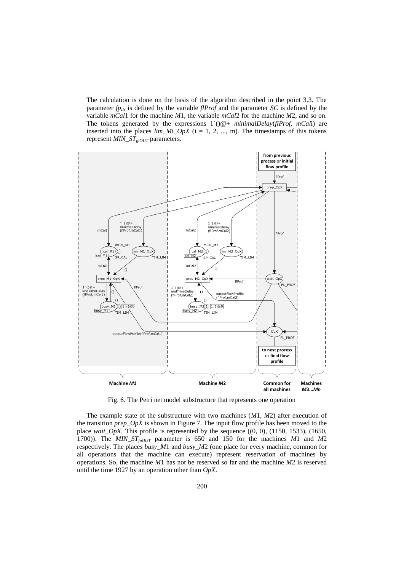The calculation is done on the basis of the algorithm described in the point 3.3. The parameter  $f_{P/N}$  is defined by the variable *flProf* and the parameter *SC* is defined by the variable *mCal*1 for the machine *M*1, the variable *mCal*2 for the machine *M*2, and so on. The tokens generated by the expressions  $1\hat{ }$  ( $)$  $@+$   $minimalDelay(f1Prof, mCali)$  are inserted into the places *lim\_M*i*\_OpX* (i = 1, 2, ..., m). The timestamps of this tokens represent *MIN\_ST<sub>fpOUT</sub>* parameters.



Fig. 6. The Petri net model substructure that represents one operation

The example state of the substructure with two machines (*M*1, *M*2) after execution of the transition *prep\_OpX* is shown in Figure 7. The input flow profile has been moved to the place *wait\_OpX*. This profile is represented by the sequence ((0, 0), (1150, 1533), (1650, 1700)). The *MIN\_STfpOUT* parameter is 650 and 150 for the machines *M*1 and *M*2 respectively. The places *busy\_M*1 and *busy\_M*2 (one place for every machine, common for all operations that the machine can execute) represent reservation of machines by operations. So, the machine *M*1 has not be reserved so far and the machine *M*2 is reserved until the time 1927 by an operation other than *OpX*.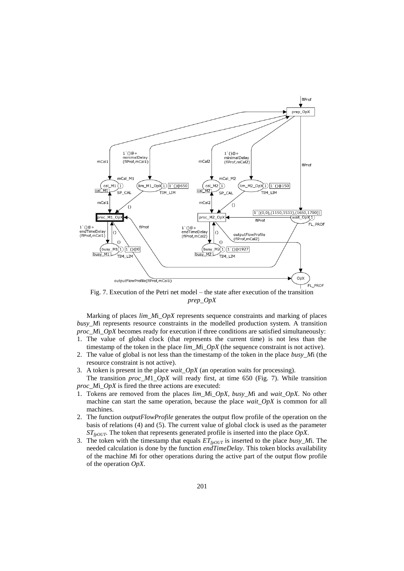

Fig. 7. Execution of the Petri net model – the state after execution of the transition *prep\_OpX*

Marking of places *lim\_M*i*\_OpX* represents sequence constraints and marking of places *busy Mi* represents resource constraints in the modelled production system. A transition *proc\_Mi\_OpX* becomes ready for execution if three conditions are satisfied simultaneously:

- 1. The value of global clock (that represents the current time) is not less than the timestamp of the token in the place *lim\_M*i*\_OpX* (the sequence constraint is not active).
- 2. The value of global is not less than the timestamp of the token in the place *busy\_M*i (the resource constraint is not active).
- 3. A token is present in the place *wait\_OpX* (an operation waits for processing).

The transition *proc\_M*1*\_OpX* will ready first, at time 650 (Fig. 7). While transition *proc\_Mi\_OpX* is fired the three actions are executed:

- 1. Tokens are removed from the places *lim\_M*i*\_OpX*, *busy\_M*i and *wait\_OpX*. No other machine can start the same operation, because the place *wait\_OpX* is common for all machines.
- 2. The function *outputFlowProfile* generates the output flow profile of the operation on the basis of relations (4) and (5). The current value of global clock is used as the parameter *STfpOUT*. The token that represents generated profile is inserted into the place *OpX*.
- 3. The token with the timestamp that equals  $ET_{\text{fpoUT}}$  is inserted to the place *busy\_M*i. The needed calculation is done by the function *endTimeDelay*. This token blocks availability of the machine *M*i for other operations during the active part of the output flow profile of the operation *OpX*.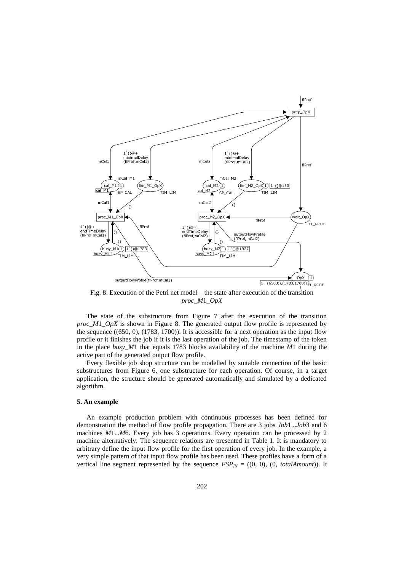

Fig. 8. Execution of the Petri net model – the state after execution of the transition *proc\_M*1*\_OpX*

The state of the substructure from Figure 7 after the execution of the transition *proc\_M*1*\_OpX* is shown in Figure 8. The generated output flow profile is represented by the sequence  $((650, 0), (1783, 1700))$ . It is accessible for a next operation as the input flow profile or it finishes the job if it is the last operation of the job. The timestamp of the token in the place *busy\_M*1 that equals 1783 blocks availability of the machine *M*1 during the active part of the generated output flow profile.

Every flexible job shop structure can be modelled by suitable connection of the basic substructures from Figure 6, one substructure for each operation. Of course, in a target application, the structure should be generated automatically and simulated by a dedicated algorithm.

### **5. An example**

An example production problem with continuous processes has been defined for demonstration the method of flow profile propagation. There are 3 jobs *Job*1...*Job*3 and 6 machines *M*1...*M*6. Every job has 3 operations. Every operation can be processed by 2 machine alternatively. The sequence relations are presented in Table 1. It is mandatory to arbitrary define the input flow profile for the first operation of every job. In the example, a very simple pattern of that input flow profile has been used. These profiles have a form of a vertical line segment represented by the sequence  $FSP_{IN} = ((0, 0), (0, totalAmount))$ . It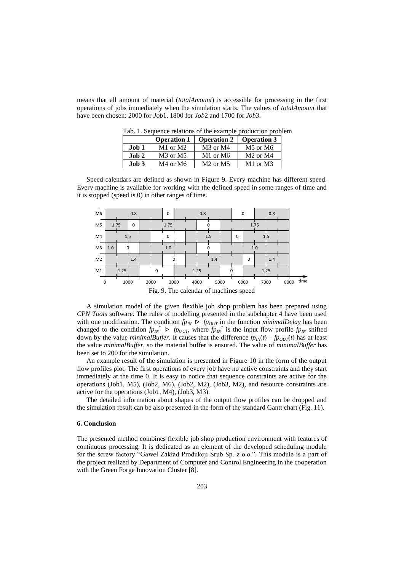means that all amount of material (*totalAmount*) is accessible for processing in the first operations of jobs immediately when the simulation starts. The values of *totalAmount* that have been chosen: 2000 for *Job*1, 1800 for *Job*2 and 1700 for *Job*3.

| Tuo, T. Deguelle Tenglono of the engineer progression proo |                    |                                  |                    |
|------------------------------------------------------------|--------------------|----------------------------------|--------------------|
|                                                            | <b>Operation 1</b> | <b>Operation 2</b>               | <b>Operation 3</b> |
| Job 1                                                      | $M1$ or $M2$       | $M3$ or M4                       | M5 or M6           |
| Job 2                                                      | $M3$ or $M5$       | M <sub>1</sub> or M <sub>6</sub> | $M2$ or $M4$       |
| J <sub>0</sub> b <sub>3</sub>                              | M4 or M6           | $M2$ or $M5$                     | $M1$ or $M3$       |

Tab. 1. Sequence relations of the example production problem

Speed calendars are defined as shown in Figure 9. Every machine has different speed. Every machine is available for working with the defined speed in some ranges of time and it is stopped (speed is 0) in other ranges of time.



Fig. 9. The calendar of machines speed

A simulation model of the given flexible job shop problem has been prepared using *CPN Tools* software. The rules of modelling presented in the subchapter 4 have been used with one modification. The condition  $fp_{N} \triangleright f_{\text{POUT}}$  in the function *minimalDelay* has been changed to the condition  $fp_{N}^{*} \triangleright fp_{OUT}$ , where  $fp_{N}^{*}$  is the input flow profile  $fp_{N}$  shifted down by the value *minimalBuffer*. It causes that the difference  $fp<sub>IN</sub>(t) - fp<sub>OUT</sub>(t)$  has at least the value *minimalBuffer*, so the material buffer is ensured. The value of *minimalBuffer* has been set to 200 for the simulation.

An example result of the simulation is presented in Figure 10 in the form of the output flow profiles plot. The first operations of every job have no active constraints and they start immediately at the time 0. It is easy to notice that sequence constraints are active for the operations (Job1, M5), (Job2, M6), (Job2, M2), (Job3, M2), and resource constraints are active for the operations (Job1, M4), (Job3, M3).

The detailed information about shapes of the output flow profiles can be dropped and the simulation result can be also presented in the form of the standard Gantt chart (Fig. 11).

### **6. Conclusion**

The presented method combines flexible job shop production environment with features of continuous processing. It is dedicated as an element of the developed scheduling module for the screw factory "Gaweł Zakład Produkcji Śrub Sp. z o.o.". This module is a part of the project realized by Department of Computer and Control Engineering in the cooperation with the Green Forge Innovation Cluster [8].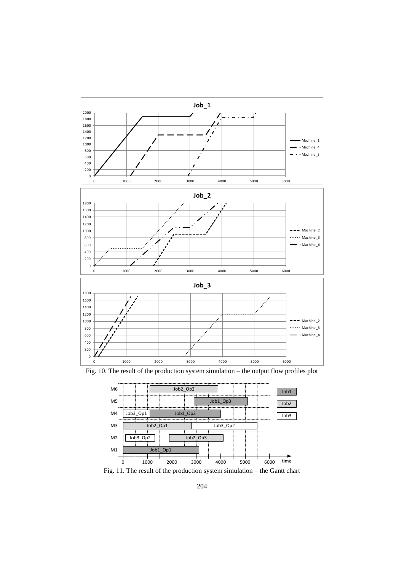

Fig. 10. The result of the production system simulation – the output flow profiles plot



Fig. 11. The result of the production system simulation – the Gantt chart